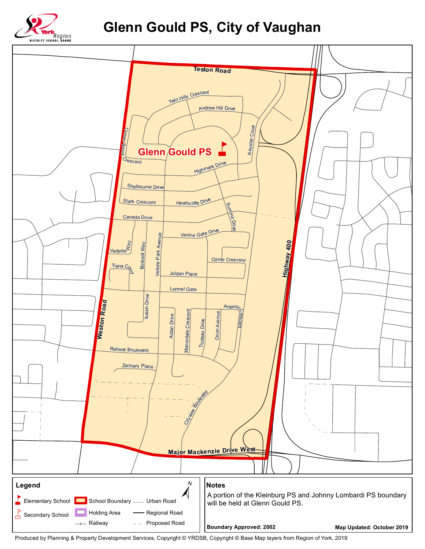

## **Glenn Gould PS, City of Vaughan**



Produced by Planning & Property Development Services, Copyright © YRDSB, Copyright © Base Map layers from Region of York, 2019